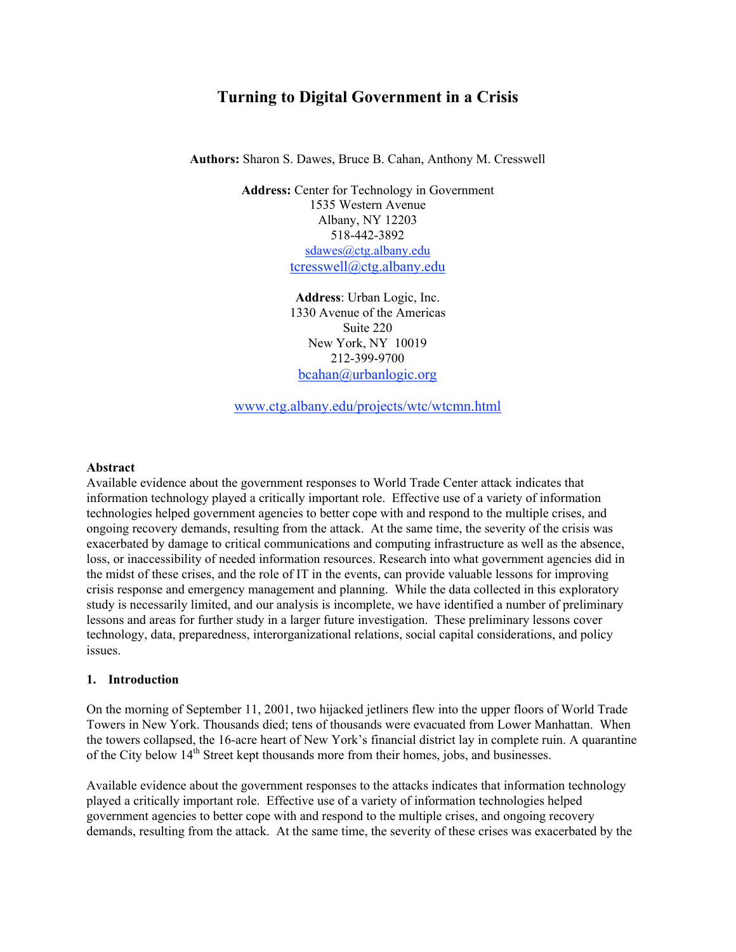# **Turning to Digital Government in a Crisis**

**Authors:** Sharon S. Dawes, Bruce B. Cahan, Anthony M. Cresswell

**Address:** Center for Technology in Government 1535 Western Avenue Albany, NY 12203 518-442-3892 sdawes@ctg.albany.edu tcresswell@ctg.albany.edu

> **Address**: Urban Logic, Inc. 1330 Avenue of the Americas Suite 220 New York, NY 10019 212-399-9700 bcahan@urbanlogic.org

www.ctg.albany.edu/projects/wtc/wtcmn.html

#### **Abstract**

Available evidence about the government responses to World Trade Center attack indicates that information technology played a critically important role. Effective use of a variety of information technologies helped government agencies to better cope with and respond to the multiple crises, and ongoing recovery demands, resulting from the attack. At the same time, the severity of the crisis was exacerbated by damage to critical communications and computing infrastructure as well as the absence, loss, or inaccessibility of needed information resources. Research into what government agencies did in the midst of these crises, and the role of IT in the events, can provide valuable lessons for improving crisis response and emergency management and planning. While the data collected in this exploratory study is necessarily limited, and our analysis is incomplete, we have identified a number of preliminary lessons and areas for further study in a larger future investigation. These preliminary lessons cover technology, data, preparedness, interorganizational relations, social capital considerations, and policy issues.

#### **1. Introduction**

On the morning of September 11, 2001, two hijacked jetliners flew into the upper floors of World Trade Towers in New York. Thousands died; tens of thousands were evacuated from Lower Manhattan. When the towers collapsed, the 16-acre heart of New York's financial district lay in complete ruin. A quarantine of the City below 14<sup>th</sup> Street kept thousands more from their homes, jobs, and businesses.

Available evidence about the government responses to the attacks indicates that information technology played a critically important role. Effective use of a variety of information technologies helped government agencies to better cope with and respond to the multiple crises, and ongoing recovery demands, resulting from the attack. At the same time, the severity of these crises was exacerbated by the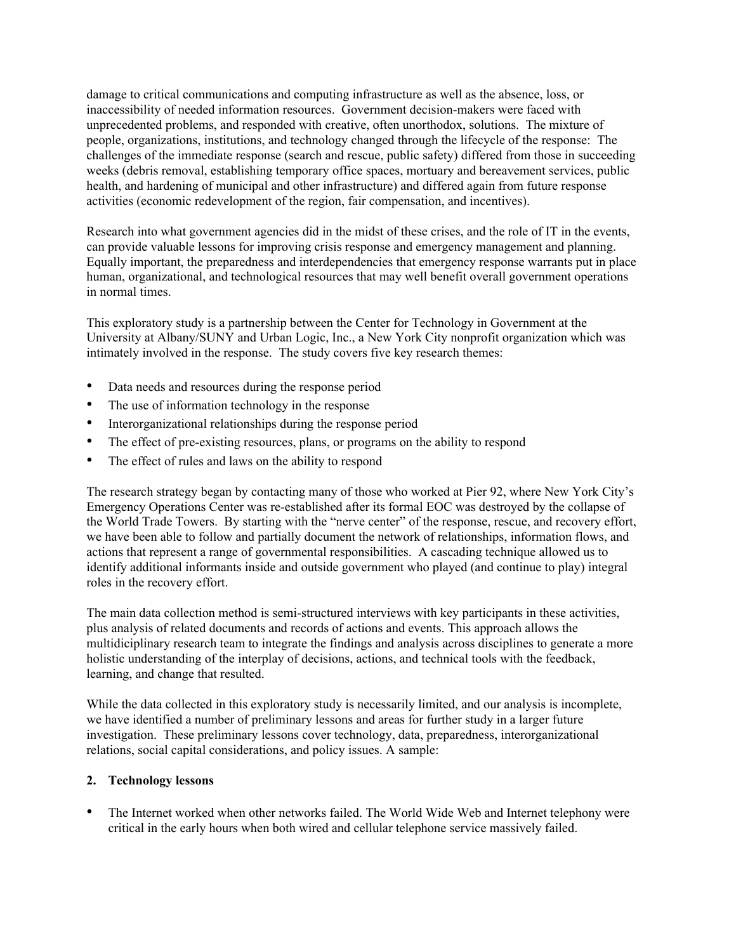damage to critical communications and computing infrastructure as well as the absence, loss, or inaccessibility of needed information resources. Government decision-makers were faced with unprecedented problems, and responded with creative, often unorthodox, solutions. The mixture of people, organizations, institutions, and technology changed through the lifecycle of the response: The challenges of the immediate response (search and rescue, public safety) differed from those in succeeding weeks (debris removal, establishing temporary office spaces, mortuary and bereavement services, public health, and hardening of municipal and other infrastructure) and differed again from future response activities (economic redevelopment of the region, fair compensation, and incentives).

Research into what government agencies did in the midst of these crises, and the role of IT in the events, can provide valuable lessons for improving crisis response and emergency management and planning. Equally important, the preparedness and interdependencies that emergency response warrants put in place human, organizational, and technological resources that may well benefit overall government operations in normal times.

This exploratory study is a partnership between the Center for Technology in Government at the University at Albany/SUNY and Urban Logic, Inc., a New York City nonprofit organization which was intimately involved in the response. The study covers five key research themes:

- Data needs and resources during the response period
- The use of information technology in the response
- Interorganizational relationships during the response period
- The effect of pre-existing resources, plans, or programs on the ability to respond
- The effect of rules and laws on the ability to respond

The research strategy began by contacting many of those who worked at Pier 92, where New York City's Emergency Operations Center was re-established after its formal EOC was destroyed by the collapse of the World Trade Towers. By starting with the "nerve center" of the response, rescue, and recovery effort, we have been able to follow and partially document the network of relationships, information flows, and actions that represent a range of governmental responsibilities. A cascading technique allowed us to identify additional informants inside and outside government who played (and continue to play) integral roles in the recovery effort.

The main data collection method is semi-structured interviews with key participants in these activities, plus analysis of related documents and records of actions and events. This approach allows the multidiciplinary research team to integrate the findings and analysis across disciplines to generate a more holistic understanding of the interplay of decisions, actions, and technical tools with the feedback, learning, and change that resulted.

While the data collected in this exploratory study is necessarily limited, and our analysis is incomplete, we have identified a number of preliminary lessons and areas for further study in a larger future investigation. These preliminary lessons cover technology, data, preparedness, interorganizational relations, social capital considerations, and policy issues. A sample:

## **2. Technology lessons**

• The Internet worked when other networks failed. The World Wide Web and Internet telephony were critical in the early hours when both wired and cellular telephone service massively failed.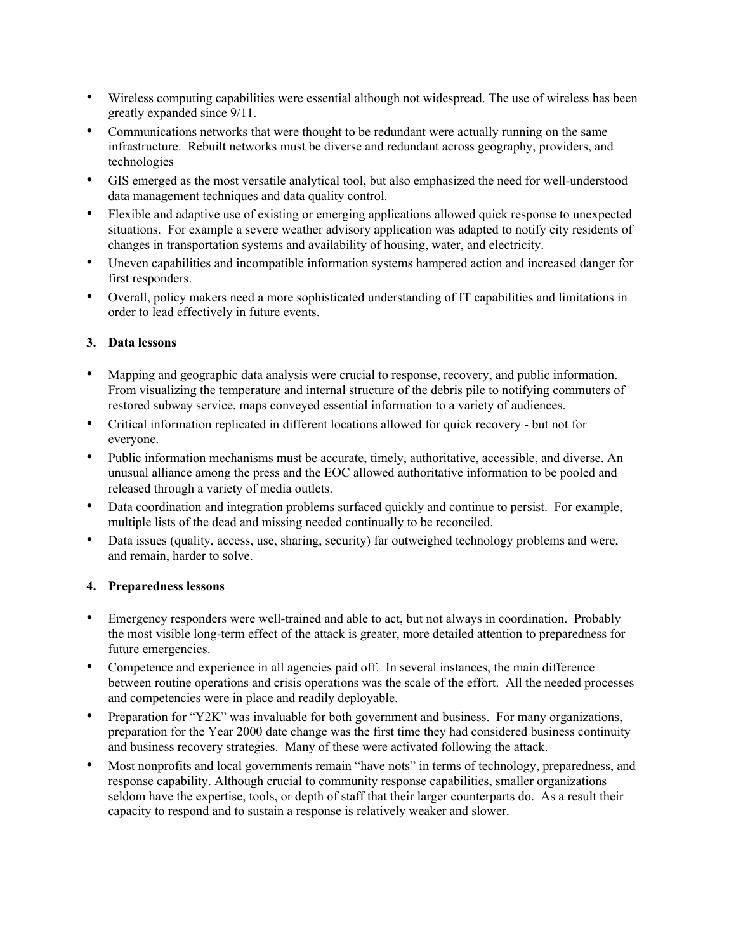- Wireless computing capabilities were essential although not widespread. The use of wireless has been greatly expanded since 9/11.
- Communications networks that were thought to be redundant were actually running on the same infrastructure. Rebuilt networks must be diverse and redundant across geography, providers, and technologies
- GIS emerged as the most versatile analytical tool, but also emphasized the need for well-understood data management techniques and data quality control.
- Flexible and adaptive use of existing or emerging applications allowed quick response to unexpected situations. For example a severe weather advisory application was adapted to notify city residents of changes in transportation systems and availability of housing, water, and electricity.
- Uneven capabilities and incompatible information systems hampered action and increased danger for first responders.
- Overall, policy makers need a more sophisticated understanding of IT capabilities and limitations in order to lead effectively in future events.

### **3. Data lessons**

- Mapping and geographic data analysis were crucial to response, recovery, and public information. From visualizing the temperature and internal structure of the debris pile to notifying commuters of restored subway service, maps conveyed essential information to a variety of audiences.
- Critical information replicated in different locations allowed for quick recovery but not for everyone.
- Public information mechanisms must be accurate, timely, authoritative, accessible, and diverse. An unusual alliance among the press and the EOC allowed authoritative information to be pooled and released through a variety of media outlets.
- Data coordination and integration problems surfaced quickly and continue to persist. For example, multiple lists of the dead and missing needed continually to be reconciled.
- Data issues (quality, access, use, sharing, security) far outweighed technology problems and were, and remain, harder to solve.

### **4. Preparedness lessons**

- Emergency responders were well-trained and able to act, but not always in coordination. Probably the most visible long-term effect of the attack is greater, more detailed attention to preparedness for future emergencies.
- Competence and experience in all agencies paid off. In several instances, the main difference between routine operations and crisis operations was the scale of the effort. All the needed processes and competencies were in place and readily deployable.
- Preparation for "Y2K" was invaluable for both government and business. For many organizations, preparation for the Year 2000 date change was the first time they had considered business continuity and business recovery strategies. Many of these were activated following the attack.
- Most nonprofits and local governments remain "have nots" in terms of technology, preparedness, and response capability. Although crucial to community response capabilities, smaller organizations seldom have the expertise, tools, or depth of staff that their larger counterparts do. As a result their capacity to respond and to sustain a response is relatively weaker and slower.